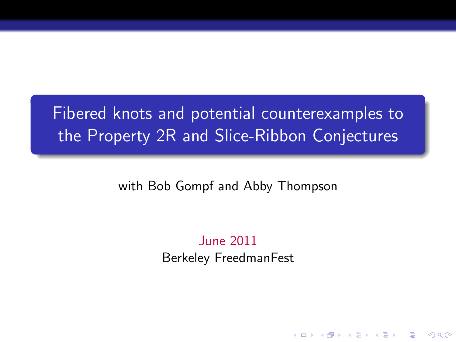# Fibered knots and potential counterexamples to the Property 2R and Slice-Ribbon Conjectures

with Bob Gompf and Abby Thompson

June 2011 Berkeley FreedmanFest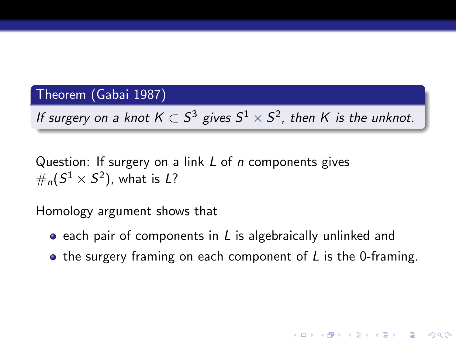#### Theorem (Gabai 1987)

If surgery on a knot  $K\subset S^3$  gives  $S^1\times S^2$ , then  $K$  is the unknot.

Question: If surgery on a link  $L$  of  $n$  components gives  $\#_n (S^1 \times S^2)$ , what is L?

Homology argument shows that

- $\bullet$  each pair of components in L is algebraically unlinked and
- $\bullet$  the surgery framing on each component of L is the 0-framing.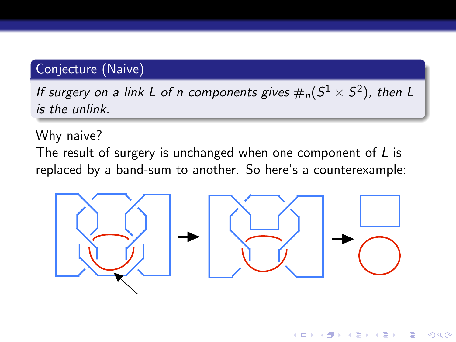# Conjecture (Naive)

If surgery on a link L of n components gives  $\#_n (S^1 \times S^2)$ , then L is the unlink.

Why naive?

The result of surgery is unchanged when one component of  *is* replaced by a band-sum to another. So here's a counterexample:



イロト イ押 トイヨト イヨト

 $2990$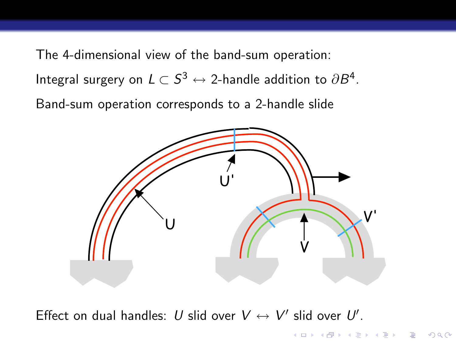The 4-dimensional view of the band-sum operation: Integral surgery on  $L\subset S^3\leftrightarrow$  2-handle addition to  $\partial B^4.$ Band-sum operation corresponds to a 2-handle slide



**KOD KARD KED KED E VOOR** 

Effect on dual handles: U slid over  $V \leftrightarrow V'$  slid over U'.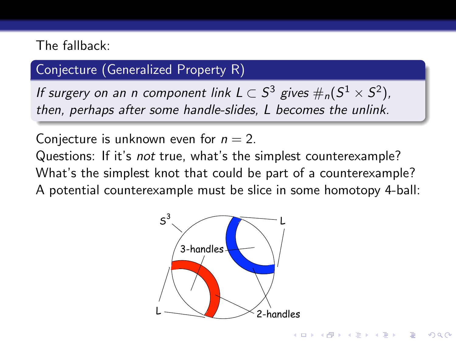## The fallback:

# Conjecture (Generalized Property R)

If surgery on an n component link  $L\subset S^3$  gives  $\#_n (S^1\times S^2)$ , then, perhaps after some handle-slides, L becomes the unlink.

Conjecture is unknown even for  $n = 2$ .

Questions: If it's not true, what's the simplest counterexample? What's the simplest knot that could be part of a counterexample? A potential counterexample must be slice in some homotopy 4-ball:

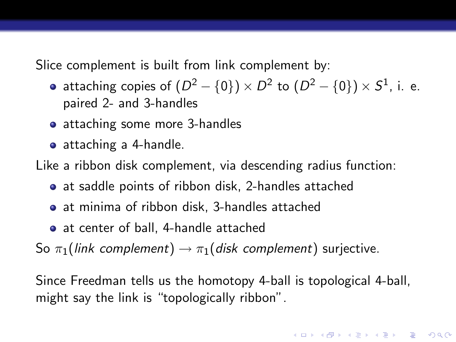Slice complement is built from link complement by:

- attaching copies of  $(D^2-\{0\})\times D^2$  to  $(D^2-\{0\})\times S^1$ , i. e. paired 2- and 3-handles
- attaching some more 3-handles
- attaching a 4-handle.

Like a ribbon disk complement, via descending radius function:

- at saddle points of ribbon disk, 2-handles attached
- at minima of ribbon disk, 3-handles attached
- at center of ball, 4-handle attached

So  $\pi_1$ (link complement)  $\rightarrow \pi_1$ (disk complement) surjective.

Since Freedman tells us the homotopy 4-ball is topological 4-ball, might say the link is "topologically ribbon".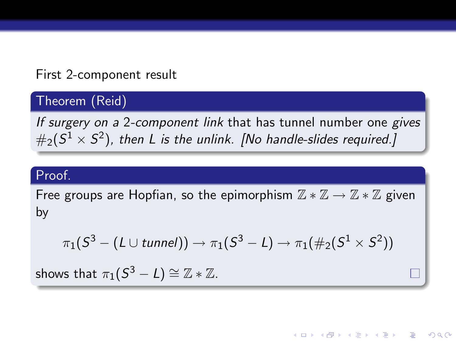## First 2-component result

# Theorem (Reid)

If surgery on a 2-component link that has tunnel number one gives  $\#_2(S^1\times S^2)$ , then L is the unlink. [No handle-slides required.]

### Proof.

Free groups are Hopfian, so the epimorphism  $\mathbb{Z} * \mathbb{Z} \to \mathbb{Z} * \mathbb{Z}$  given by

$$
\pi_1(S^3 - (L \cup tunnel)) \rightarrow \pi_1(S^3 - L) \rightarrow \pi_1(\#_2(S^1 \times S^2))
$$

**KORKARA KERKER SAGA** 

shows that  $\pi_1(\overline{S^3-L}) \cong \mathbb{Z}*\mathbb{Z}.$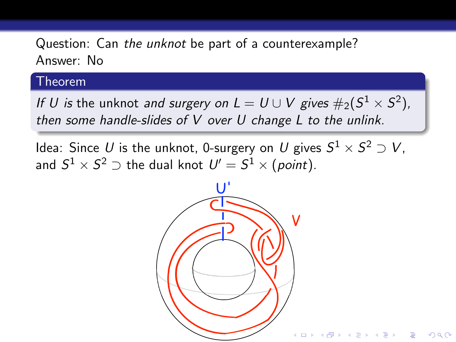Question: Can the unknot be part of a counterexample? Answer: No

#### Theorem

If  $U$  is the unknot and surgery on  $L = U \cup V$  gives  $\#_2(S^1 \times S^2)$ , then some handle-slides of V over U change L to the unlink.

Idea: Since  $U$  is the unknot, 0-surgery on  $U$  gives  $S^1 \times S^2 \supset V$ , and  $S^1 \times S^2 \supset$  the dual knot  $\mathit{U'}=S^1 \times (point).$ 

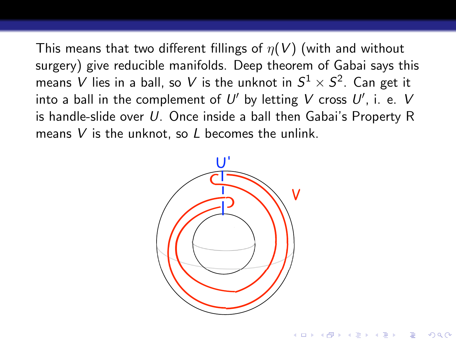This means that two different fillings of  $\eta(V)$  (with and without surgery) give reducible manifolds. Deep theorem of Gabai says this means  $V$  lies in a ball, so  $V$  is the unknot in  $S^1\times S^2.$  Can get it into a ball in the complement of  $U'$  by letting  $V$  cross  $U'$ , i. e.  $V$ is handle-slide over U. Once inside a ball then Gabai's Property R means  $V$  is the unknot, so  $L$  becomes the unlink.

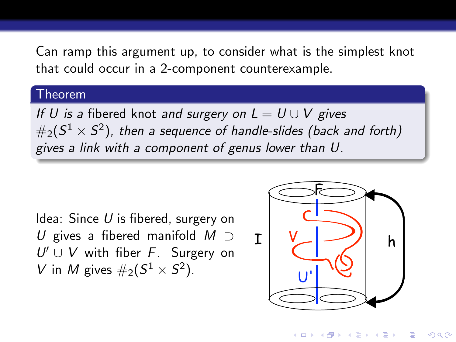Can ramp this argument up, to consider what is the simplest knot that could occur in a 2-component counterexample.

#### Theorem

If U is a fibered knot and surgery on  $L = U \cup V$  gives  $\#_2(S^1\times S^2)$ , then a sequence of handle-slides (back and forth) gives a link with a component of genus lower than U.

Idea: Since  $U$  is fibered, surgery on U gives a fibered manifold  $M \supset$  $U' \cup V$  with fiber F. Surgery on V in M gives  $\#_2(S^1 \times S^2)$ .



イロン イ部ン イ君ン イ君ンシ

 $2990$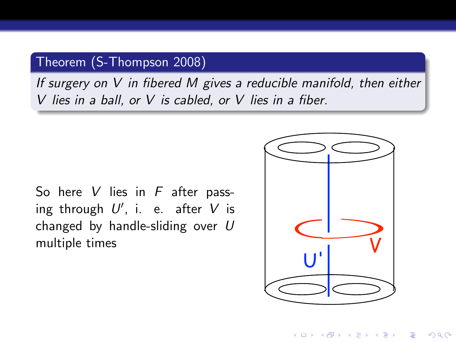## Theorem (S-Thompson 2008)

If surgery on V in fibered M gives a reducible manifold, then either V lies in a ball, or V is cabled, or V lies in a fiber.

So here  $V$  lies in  $F$  after passing through  $U'$ , i. e. after  $V$  is changed by handle-sliding over  $U$ multiple times



 $\mathbf{A} \equiv \mathbf{A} + \mathbf{A} + \mathbf{A} + \mathbf{A} + \mathbf{A} + \mathbf{A} + \mathbf{A} + \mathbf{A} + \mathbf{A} + \mathbf{A} + \mathbf{A} + \mathbf{A} + \mathbf{A} + \mathbf{A} + \mathbf{A} + \mathbf{A} + \mathbf{A} + \mathbf{A} + \mathbf{A} + \mathbf{A} + \mathbf{A} + \mathbf{A} + \mathbf{A} + \mathbf{A} + \mathbf{A} + \mathbf{A} + \mathbf{A} + \mathbf{A} + \mathbf{A} + \mathbf{A} + \math$ 

 $2Q$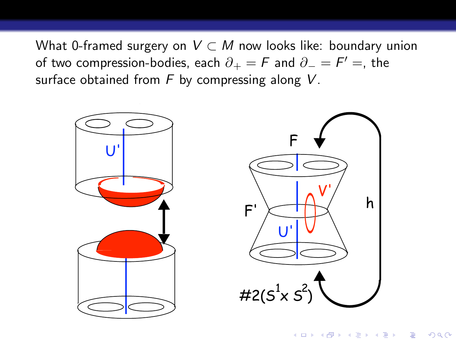What 0-framed surgery on  $V \subset M$  now looks like: boundary union of two compression-bodies, each  $\partial_+=\bar{F}$  and  $\partial_-=\bar{F}'=$ , the surface obtained from  $F$  by compressing along  $V$ .

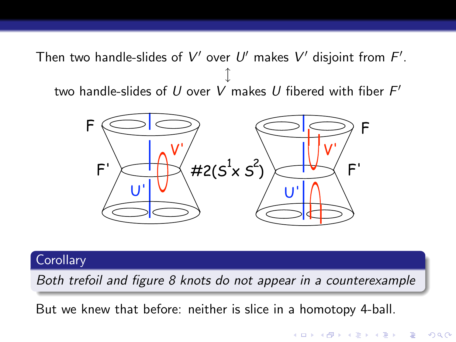Then two handle-slides of  $V'$  over  $U'$  makes  $V'$  disjoint from  $F'.$ l two handle-slides of  $U$  over  $V$  makes  $U$  fibered with fiber  $F^\prime$ 



#### **Corollary**

Both trefoil and figure 8 knots do not appear in a counterexample

**KORK ERKER ADE YOUR** 

But we knew that before: neither is slice in a homotopy 4-ball.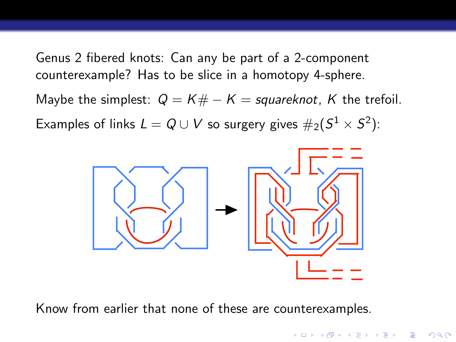Genus 2 fibered knots: Can any be part of a 2-component counterexample? Has to be slice in a homotopy 4-sphere.

Maybe the simplest:  $Q = K# - K =$  squareknot, K the trefoil.

Examples of links  $L=Q\cup V$  so surgery gives  $\#_2(S^1\times S^2)$ :



**KORK ERKER ADE YOUR** 

Know from earlier that none of these are counterexamples.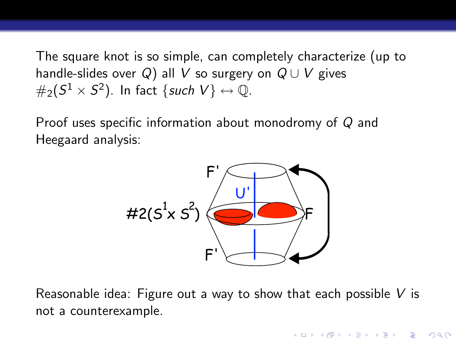The square knot is so simple, can completely characterize (up to handle-slides over Q) all V so surgery on  $Q \cup V$  gives  $\#_2(S^1\times S^2).$  In fact  $\{ \textit{such } V\} \leftrightarrow \mathbb{Q}.$ 

Proof uses specific information about monodromy of Q and Heegaard analysis:



Reasonable idea: Figure out a way to show that each possible  $V$  is not a counterexample.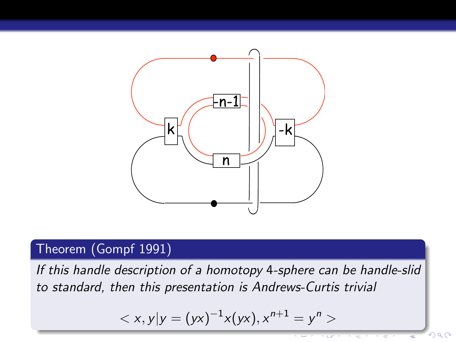

## Theorem (Gompf 1991)

If this handle description of a homotopy 4-sphere can be handle-slid to standard, then this presentation is Andrews-Curtis trivial

$$

$$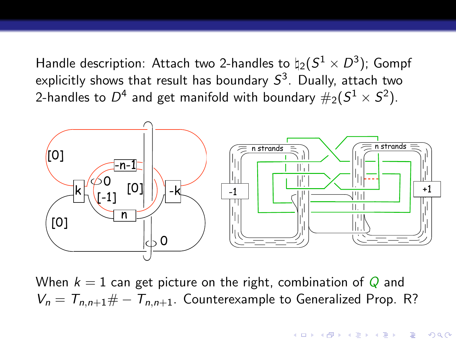Handle description: Attach two 2-handles to  $\natural_2(S^1\times D^3)$ ; Gompf explicitly shows that result has boundary  $S^3$ . Dually, attach two 2-handles to  $D^4$  and get manifold with boundary  $\#_2(S^1\times S^2).$ 



When  $k = 1$  can get picture on the right, combination of Q and  $V_n = T_{n,n+1} \# - T_{n,n+1}$ . Counterexample to Generalized Prop. R?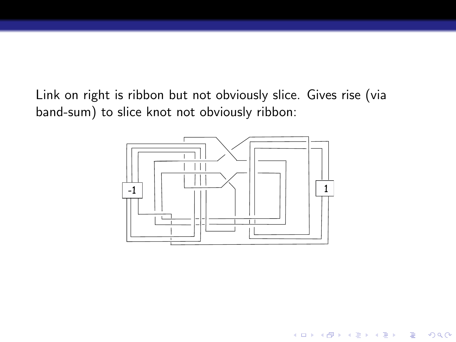Link on right is ribbon but not obviously slice. Gives rise (via band-sum) to slice knot not obviously ribbon:



K ロ > K @ > K 할 > K 할 > → 할 → ⊙ Q @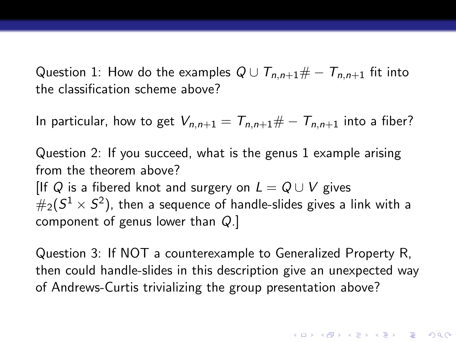Question 1: How do the examples  $Q \cup T_{n,n+1} \# - T_{n,n+1}$  fit into the classification scheme above?

In particular, how to get  $V_{n,n+1} = T_{n,n+1} \# - T_{n,n+1}$  into a fiber?

Question 2: If you succeed, what is the genus 1 example arising from the theorem above? [If Q is a fibered knot and surgery on  $L = Q \cup V$  gives  $\#_2(S^1\times S^2)$ , then a sequence of handle-slides gives a link with a component of genus lower than Q.]

Question 3: If NOT a counterexample to Generalized Property R, then could handle-slides in this description give an unexpected way of Andrews-Curtis trivializing the group presentation above?